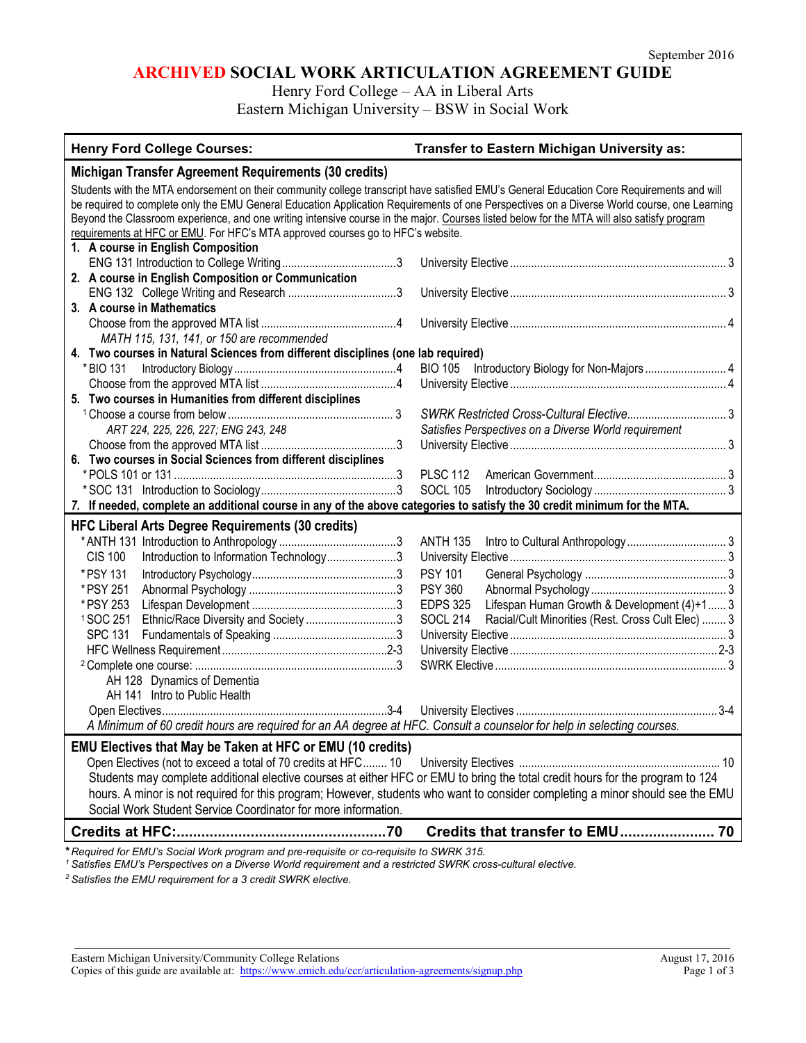# **ARCHIVED SOCIAL WORK ARTICULATION AGREEMENT GUIDE**

Henry Ford College – AA in Liberal Arts

Eastern Michigan University – BSW in Social Work

| <b>Henry Ford College Courses:</b>                                                                                                                                                             | Transfer to Eastern Michigan University as:                                                                                   |  |
|------------------------------------------------------------------------------------------------------------------------------------------------------------------------------------------------|-------------------------------------------------------------------------------------------------------------------------------|--|
| Michigan Transfer Agreement Requirements (30 credits)                                                                                                                                          |                                                                                                                               |  |
| Students with the MTA endorsement on their community college transcript have satisfied EMU's General Education Core Requirements and will                                                      |                                                                                                                               |  |
| be required to complete only the EMU General Education Application Requirements of one Perspectives on a Diverse World course, one Learning                                                    |                                                                                                                               |  |
| Beyond the Classroom experience, and one writing intensive course in the major. Courses listed below for the MTA will also satisfy program                                                     |                                                                                                                               |  |
| requirements at HFC or EMU. For HFC's MTA approved courses go to HFC's website.                                                                                                                |                                                                                                                               |  |
| 1. A course in English Composition                                                                                                                                                             |                                                                                                                               |  |
| 2. A course in English Composition or Communication                                                                                                                                            |                                                                                                                               |  |
|                                                                                                                                                                                                |                                                                                                                               |  |
| 3. A course in Mathematics                                                                                                                                                                     |                                                                                                                               |  |
|                                                                                                                                                                                                |                                                                                                                               |  |
| MATH 115, 131, 141, or 150 are recommended                                                                                                                                                     |                                                                                                                               |  |
| 4. Two courses in Natural Sciences from different disciplines (one lab required)                                                                                                               |                                                                                                                               |  |
| * BIO 131                                                                                                                                                                                      |                                                                                                                               |  |
|                                                                                                                                                                                                |                                                                                                                               |  |
| 5. Two courses in Humanities from different disciplines                                                                                                                                        |                                                                                                                               |  |
|                                                                                                                                                                                                |                                                                                                                               |  |
| ART 224, 225, 226, 227; ENG 243, 248                                                                                                                                                           | Satisfies Perspectives on a Diverse World requirement                                                                         |  |
|                                                                                                                                                                                                |                                                                                                                               |  |
| 6. Two courses in Social Sciences from different disciplines                                                                                                                                   |                                                                                                                               |  |
|                                                                                                                                                                                                | <b>PLSC 112</b>                                                                                                               |  |
| 7. If needed, complete an additional course in any of the above categories to satisfy the 30 credit minimum for the MTA.                                                                       | <b>SOCL 105</b>                                                                                                               |  |
|                                                                                                                                                                                                |                                                                                                                               |  |
| <b>HFC Liberal Arts Degree Requirements (30 credits)</b>                                                                                                                                       |                                                                                                                               |  |
|                                                                                                                                                                                                | <b>ANTH 135</b>                                                                                                               |  |
| Introduction to Information Technology3<br><b>CIS 100</b>                                                                                                                                      |                                                                                                                               |  |
| * PSY 131                                                                                                                                                                                      | <b>PSY 101</b>                                                                                                                |  |
| * PSY 251                                                                                                                                                                                      | <b>PSY 360</b>                                                                                                                |  |
| * PSY 253                                                                                                                                                                                      | <b>EDPS 325</b><br>Lifespan Human Growth & Development (4)+1 3                                                                |  |
| <sup>1</sup> SOC 251<br>Ethnic/Race Diversity and Society 3                                                                                                                                    | Racial/Cult Minorities (Rest. Cross Cult Elec)  3<br><b>SOCL 214</b>                                                          |  |
| <b>SPC 131</b>                                                                                                                                                                                 |                                                                                                                               |  |
|                                                                                                                                                                                                |                                                                                                                               |  |
| AH 128 Dynamics of Dementia                                                                                                                                                                    |                                                                                                                               |  |
| AH 141 Intro to Public Health                                                                                                                                                                  |                                                                                                                               |  |
|                                                                                                                                                                                                |                                                                                                                               |  |
| A Minimum of 60 credit hours are required for an AA degree at HFC. Consult a counselor for help in selecting courses.                                                                          |                                                                                                                               |  |
|                                                                                                                                                                                                |                                                                                                                               |  |
| <b>EMU Electives that May be Taken at HFC or EMU (10 credits)</b>                                                                                                                              |                                                                                                                               |  |
| Open Electives (not to exceed a total of 70 credits at HFC 10<br>Students may complete additional elective courses at either HFC or EMU to bring the total credit hours for the program to 124 |                                                                                                                               |  |
|                                                                                                                                                                                                |                                                                                                                               |  |
| Social Work Student Service Coordinator for more information.                                                                                                                                  | hours. A minor is not required for this program; However, students who want to consider completing a minor should see the EMU |  |
|                                                                                                                                                                                                |                                                                                                                               |  |
| * Required for EMI to Secial Wark program and are requisite as an requisite to SMDK 215                                                                                                        |                                                                                                                               |  |

**\****Required for EMU's Social Work program and pre-requisite or co-requisite to SWRK 315.*

*<sup>1</sup> Satisfies EMU's Perspectives on a Diverse World requirement and a restricted SWRK cross-cultural elective.*

*<sup>2</sup> Satisfies the EMU requirement for a 3 credit SWRK elective.*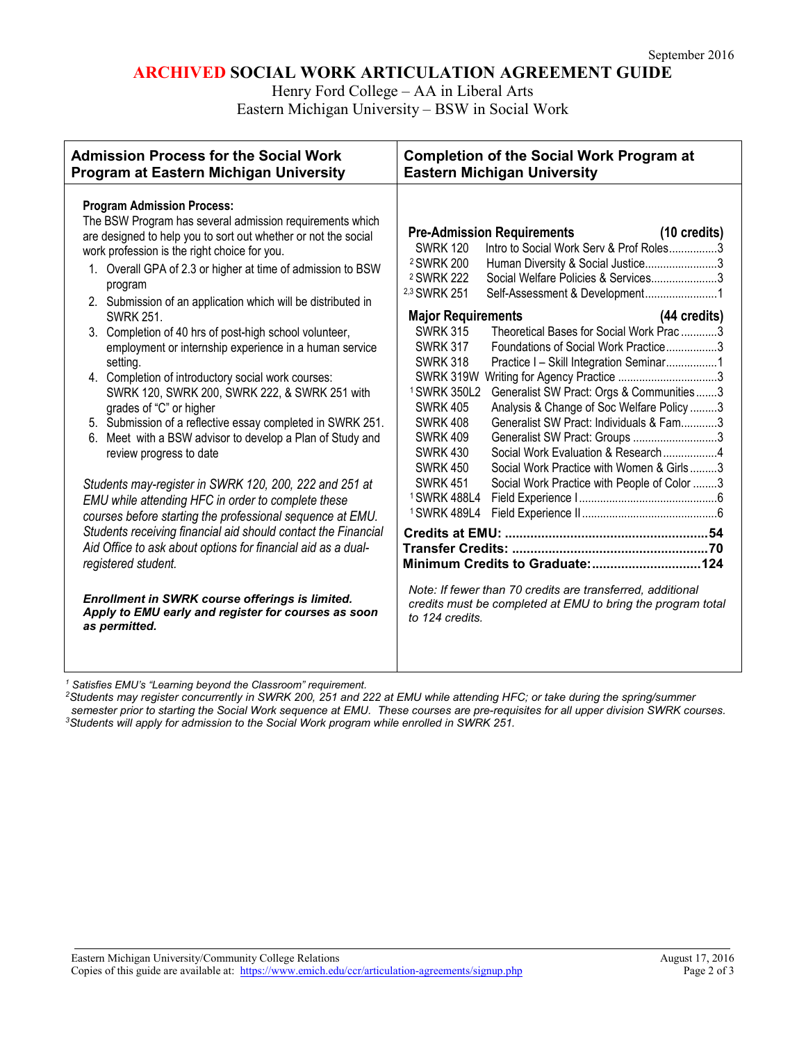## **ARCHIVED SOCIAL WORK ARTICULATION AGREEMENT GUIDE**

Henry Ford College – AA in Liberal Arts

Eastern Michigan University – BSW in Social Work

| Program at Eastern Michigan University                                                                                                                                                                                                                                                                                                                                                                                                                                                                                                                                                                                                                                                                                                                                                                                                                                                                                                                                                                                                                                                                                                                                                                                                                                                                                                             | <b>Eastern Michigan University</b>                                                                                                                                                                                                                                                                                                                                                                                                                                                                                                                                                                                                                                                                                                                                                                                                                                                                                                                                                                                                                                                                                                                                |
|----------------------------------------------------------------------------------------------------------------------------------------------------------------------------------------------------------------------------------------------------------------------------------------------------------------------------------------------------------------------------------------------------------------------------------------------------------------------------------------------------------------------------------------------------------------------------------------------------------------------------------------------------------------------------------------------------------------------------------------------------------------------------------------------------------------------------------------------------------------------------------------------------------------------------------------------------------------------------------------------------------------------------------------------------------------------------------------------------------------------------------------------------------------------------------------------------------------------------------------------------------------------------------------------------------------------------------------------------|-------------------------------------------------------------------------------------------------------------------------------------------------------------------------------------------------------------------------------------------------------------------------------------------------------------------------------------------------------------------------------------------------------------------------------------------------------------------------------------------------------------------------------------------------------------------------------------------------------------------------------------------------------------------------------------------------------------------------------------------------------------------------------------------------------------------------------------------------------------------------------------------------------------------------------------------------------------------------------------------------------------------------------------------------------------------------------------------------------------------------------------------------------------------|
| <b>Program Admission Process:</b><br>The BSW Program has several admission requirements which<br>are designed to help you to sort out whether or not the social<br>work profession is the right choice for you.<br><sup>2</sup> SWRK 200<br>1. Overall GPA of 2.3 or higher at time of admission to BSW<br><sup>2</sup> SWRK 222<br>program<br><sup>2,3</sup> SWRK 251<br>2. Submission of an application which will be distributed in<br><b>SWRK 251.</b><br>3. Completion of 40 hrs of post-high school volunteer,<br>employment or internship experience in a human service<br>setting.<br>4. Completion of introductory social work courses:<br>SWRK 120, SWRK 200, SWRK 222, & SWRK 251 with<br>grades of "C" or higher<br>5. Submission of a reflective essay completed in SWRK 251.<br>6. Meet with a BSW advisor to develop a Plan of Study and<br>review progress to date<br>Students may-register in SWRK 120, 200, 222 and 251 at<br>EMU while attending HFC in order to complete these<br>courses before starting the professional sequence at EMU.<br>Students receiving financial aid should contact the Financial<br>Aid Office to ask about options for financial aid as a dual-<br>registered student.<br>Enrollment in SWRK course offerings is limited.<br>Apply to EMU early and register for courses as soon<br>as permitted. | <b>Pre-Admission Requirements</b><br>(10 credits)<br>Intro to Social Work Serv & Prof Roles3<br><b>SWRK 120</b><br>Human Diversity & Social Justice3<br>Social Welfare Policies & Services3<br>Self-Assessment & Development1<br>(44 credits)<br><b>Major Requirements</b><br>Theoretical Bases for Social Work Prac 3<br><b>SWRK 315</b><br><b>SWRK 317</b><br>Foundations of Social Work Practice3<br><b>SWRK 318</b><br>Practice I - Skill Integration Seminar1<br>SWRK 319W<br><sup>1</sup> SWRK 350L2<br>Generalist SW Pract: Orgs & Communities3<br>Analysis & Change of Soc Welfare Policy 3<br><b>SWRK 405</b><br>Generalist SW Pract: Individuals & Fam3<br><b>SWRK 408</b><br><b>SWRK 409</b><br>Generalist SW Pract: Groups 3<br><b>SWRK 430</b><br>Social Work Evaluation & Research4<br><b>SWRK 450</b><br>Social Work Practice with Women & Girls3<br><b>SWRK 451</b><br>Social Work Practice with People of Color 3<br><sup>1</sup> SWRK 488L4<br>1 SWRK 489L4<br>Minimum Credits to Graduate: 124<br>Note: If fewer than 70 credits are transferred, additional<br>credits must be completed at EMU to bring the program total<br>to 124 credits. |

*<sup>1</sup> Satisfies EMU's "Learning beyond the Classroom" requirement.*

*2Students may register concurrently in SWRK 200, 251 and 222 at EMU while attending HFC; or take during the spring/summer*  semester prior to starting the Social Work sequence at EMU. These courses are pre-requisites for all upper division SWRK courses.<br><sup>3</sup>Students will apply for admission to the Social Work program while enrolled in SWRK 251.